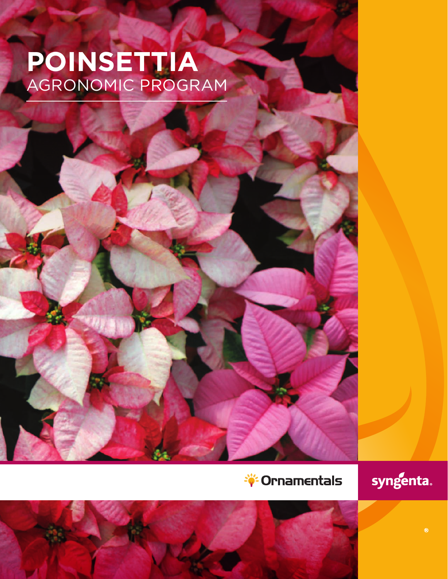# **POINSETTIA** AGRONOMIC PROGRAM

# *<u><sup>Sive</sup>* **Ornamentals</u>**

syngenta.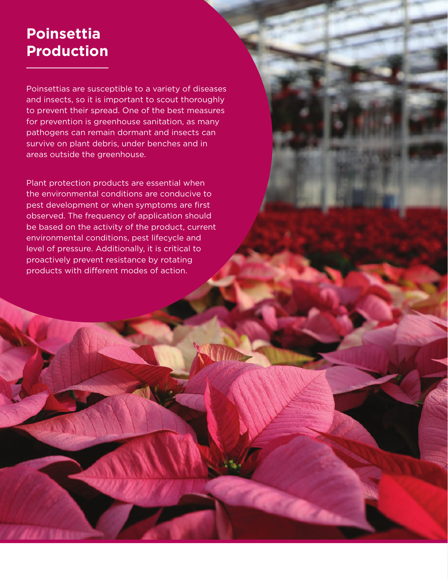#### **Drodi Production Poinsettia Production**

Poinsettias are susceptible to a variety of diseases and insects, so it is important to scout thoroughly to prevent their spread. One of the best measures for prevention is greenhouse sanitation, as many pathogens can remain dormant and insects can survive on plant debris, under benches and in areas outside the greenhouse.

Plant protection products are essential when the environmental conditions are conducive to pest development or when symptoms are first observed. The frequency of application should be based on the activity of the product, current environmental conditions, pest lifecycle and level of pressure. Additionally, it is critical to proactively prevent resistance by rotating products with different modes of action.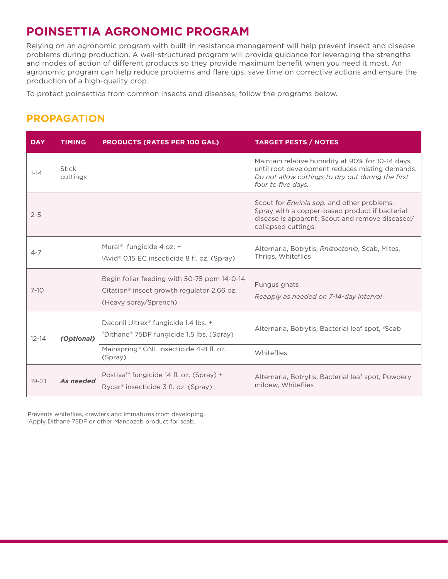## **POINSETTIA AGRONOMIC PROGRAM**

Relying on an agronomic program with built-in resistance management will help prevent insect and disease problems during production. A well-structured program will provide guidance for leveraging the strengths and modes of action of different products so they provide maximum benefit when you need it most. An agronomic program can help reduce problems and flare ups, save time on corrective actions and ensure the production of a high-quality crop.

To protect poinsettias from common insects and diseases, follow the programs below.

#### **PROPAGATION**

| <b>DAY</b> | <b>TIMING</b>            | <b>PRODUCTS (RATES PER 100 GAL)</b>                                                                                            | <b>TARGET PESTS / NOTES</b>                                                                                                                                                    |
|------------|--------------------------|--------------------------------------------------------------------------------------------------------------------------------|--------------------------------------------------------------------------------------------------------------------------------------------------------------------------------|
| $1 - 14$   | <b>Stick</b><br>cuttings |                                                                                                                                | Maintain relative humidity at 90% for 10-14 days<br>until root development reduces misting demands.<br>Do not allow cuttings to dry out during the first<br>four to five days. |
| $2 - 5$    |                          |                                                                                                                                | Scout for <i>Erwinia spp.</i> and other problems.<br>Spray with a copper-based product if bacterial<br>disease is apparent. Scout and remove diseased/<br>collapsed cuttings.  |
| $4 - 7$    |                          | Mural <sup>®</sup> fungicide 4 oz. +<br>$^1$ Avid <sup>®</sup> 0.15 EC insecticide 8 fl. oz. (Spray)                           | Alternaria, Botrytis, Rhizoctonia, Scab, Mites,<br>Thrips, Whiteflies                                                                                                          |
| $7 - 10$   |                          | Begin foliar feeding with 50-75 ppm 14-0-14<br>Citation <sup>®</sup> insect growth regulator 2.66 oz.<br>(Heavy spray/Sprench) | Fungus gnats<br>Reapply as needed on 7-14-day interval                                                                                                                         |
| $12 - 14$  | (Optional)               | Daconil Ultrex® fungicide 1.4 lbs. +<br><sup>2</sup> Dithane <sup>®</sup> 75DF fungicide 1.5 lbs. (Spray)                      | Alternaria, Botrytis, Bacterial leaf spot, <sup>2</sup> Scab                                                                                                                   |
|            |                          | Mainspring <sup>®</sup> GNL insecticide 4-8 fl. oz.<br>(Spray)                                                                 | Whiteflies                                                                                                                                                                     |
| $19 - 21$  | As needed                | Postiva <sup>™</sup> fungicide 14 fl. oz. (Spray) +<br>Rycar <sup>®</sup> insecticide 3 fl. oz. (Spray)                        | Alternaria, Botrytis, Bacterial leaf spot, Powdery<br>mildew, Whiteflies                                                                                                       |

1 Prevents whiteflies, crawlers and immatures from developing. <sup>2</sup>Apply Dithane 75DF or other Mancozeb product for scab.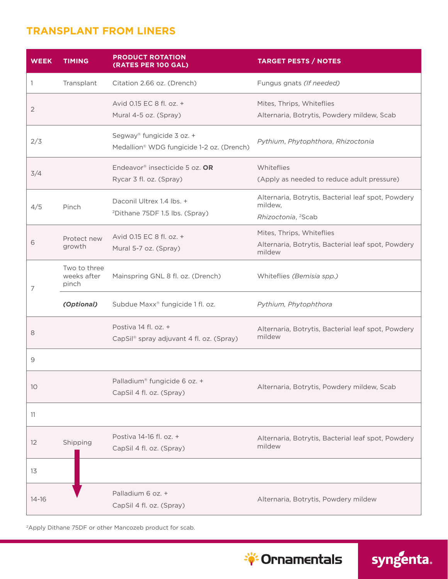#### **TRANSPLANT FROM LINERS**

| <b>WEEK</b>    | <b>TIMING</b>                        | <b>PRODUCT ROTATION</b><br>(RATES PER 100 GAL)                          | <b>TARGET PESTS / NOTES</b>                                                                     |
|----------------|--------------------------------------|-------------------------------------------------------------------------|-------------------------------------------------------------------------------------------------|
| 1              | Transplant                           | Citation 2.66 oz. (Drench)                                              | Fungus gnats (If needed)                                                                        |
| $\overline{2}$ |                                      | Avid 0.15 EC 8 fl. oz. +<br>Mural 4-5 oz. (Spray)                       | Mites, Thrips, Whiteflies<br>Alternaria, Botrytis, Powdery mildew, Scab                         |
| 2/3            |                                      | Segway® fungicide 3 oz. +<br>Medallion® WDG fungicide 1-2 oz. (Drench)  | Pythium, Phytophthora, Rhizoctonia                                                              |
| 3/4            |                                      | Endeavor <sup>®</sup> insecticide 5 oz. OR<br>Rycar 3 fl. oz. (Spray)   | Whiteflies<br>(Apply as needed to reduce adult pressure)                                        |
| 4/5            | Pinch                                | Daconil Ultrex 1.4 lbs. +<br><sup>2</sup> Dithane 75DF 1.5 lbs. (Spray) | Alternaria, Botrytis, Bacterial leaf spot, Powdery<br>mildew,<br>Rhizoctonia, <sup>2</sup> Scab |
| 6              | Protect new<br>growth                | Avid 0.15 EC 8 fl. oz. +<br>Mural 5-7 oz. (Spray)                       | Mites, Thrips, Whiteflies<br>Alternaria, Botrytis, Bacterial leaf spot, Powdery<br>mildew       |
| 7              | Two to three<br>weeks after<br>pinch | Mainspring GNL 8 fl. oz. (Drench)                                       | Whiteflies (Bemisia spp.)                                                                       |
|                | (Optional)                           | Subdue Maxx <sup>®</sup> fungicide 1 fl. oz.                            | Pythium, Phytophthora                                                                           |
| 8              |                                      | Postiva 14 fl. oz. +<br>CapSil® spray adjuvant 4 fl. oz. (Spray)        | Alternaria, Botrytis, Bacterial leaf spot, Powdery<br>mildew                                    |
| 9              |                                      |                                                                         |                                                                                                 |
| 10             |                                      | Palladium <sup>®</sup> fungicide 6 oz. +<br>CapSil 4 fl. oz. (Spray)    | Alternaria, Botrytis, Powdery mildew, Scab                                                      |
| 11             |                                      |                                                                         |                                                                                                 |
| 12             | Shipping                             | Postiva 14-16 fl. oz. +<br>CapSil 4 fl. oz. (Spray)                     | Alternaria, Botrytis, Bacterial leaf spot, Powdery<br>mildew                                    |
| 13             |                                      |                                                                         |                                                                                                 |
| $14 - 16$      |                                      | Palladium 6 oz. +<br>CapSil 4 fl. oz. (Spray)                           | Alternaria, Botrytis, Powdery mildew                                                            |

2Apply Dithane 75DF or other Mancozeb product for scab.



syngenta.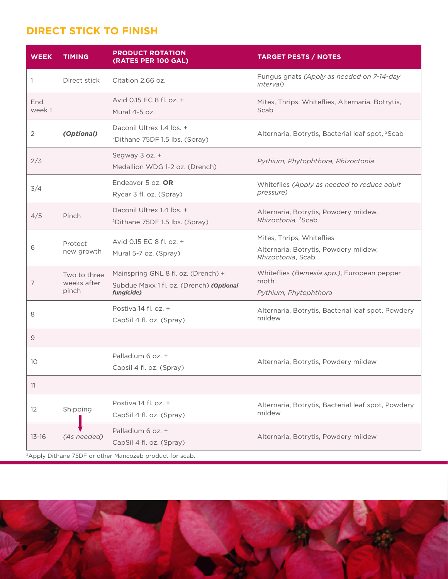#### **DIRECT STICK TO FINISH**

| <b>WEEK</b>                                                         | <b>TIMING</b>                        | <b>PRODUCT ROTATION</b><br>(RATES PER 100 GAL)                                                | <b>TARGET PESTS / NOTES</b>                                                             |  |  |
|---------------------------------------------------------------------|--------------------------------------|-----------------------------------------------------------------------------------------------|-----------------------------------------------------------------------------------------|--|--|
| 1                                                                   | Direct stick                         | Citation 2.66 oz.                                                                             | Fungus gnats (Apply as needed on 7-14-day<br>interval)                                  |  |  |
| End<br>week 1                                                       |                                      | Avid 0.15 EC 8 fl. oz. +<br>Mural 4-5 oz.                                                     | Mites, Thrips, Whiteflies, Alternaria, Botrytis,<br>Scab                                |  |  |
| 2                                                                   | (Optional)                           | Daconil Ultrex 1.4 lbs. +<br><sup>2</sup> Dithane 75DF 1.5 lbs. (Spray)                       | Alternaria, Botrytis, Bacterial leaf spot, <sup>2</sup> Scab                            |  |  |
| 2/3                                                                 |                                      | Segway 3 oz. +<br>Medallion WDG 1-2 oz. (Drench)                                              | Pythium, Phytophthora, Rhizoctonia                                                      |  |  |
| 3/4                                                                 |                                      | Endeavor 5 oz. OR<br>Rycar 3 fl. oz. (Spray)                                                  | Whiteflies (Apply as needed to reduce adult<br>pressure)                                |  |  |
| 4/5                                                                 | Pinch                                | Daconil Ultrex 1.4 lbs. +<br><sup>2</sup> Dithane 75DF 1.5 lbs. (Spray)                       | Alternaria, Botrytis, Powdery mildew,<br>Rhizoctonia, <sup>2</sup> Scab                 |  |  |
| 6                                                                   | Protect<br>new growth                | Avid 0.15 EC 8 fl. oz. +<br>Mural 5-7 oz. (Spray)                                             | Mites, Thrips, Whiteflies<br>Alternaria, Botrytis, Powdery mildew,<br>Rhizoctonia, Scab |  |  |
| 7                                                                   | Two to three<br>weeks after<br>pinch | Mainspring GNL 8 fl. oz. (Drench) +<br>Subdue Maxx 1 fl. oz. (Drench) (Optional<br>fungicide) | Whiteflies (Bemesia spp.), European pepper<br>moth<br>Pythium, Phytophthora             |  |  |
| 8                                                                   |                                      | Postiva 14 fl. oz. +<br>CapSil 4 fl. oz. (Spray)                                              | Alternaria, Botrytis, Bacterial leaf spot, Powdery<br>mildew                            |  |  |
| 9                                                                   |                                      |                                                                                               |                                                                                         |  |  |
| 10 <sup>°</sup>                                                     |                                      | Palladium 6 oz. +<br>Capsil 4 fl. oz. (Spray)                                                 | Alternaria, Botrytis, Powdery mildew                                                    |  |  |
| 11                                                                  |                                      |                                                                                               |                                                                                         |  |  |
| 12                                                                  | Shipping                             | Postiva 14 fl. oz. +<br>CapSil 4 fl. oz. (Spray)                                              | Alternaria, Botrytis, Bacterial leaf spot, Powdery<br>mildew                            |  |  |
| $13 - 16$                                                           | (As needed)                          | Palladium 6 oz. +<br>CapSil 4 fl. oz. (Spray)                                                 | Alternaria, Botrytis, Powdery mildew                                                    |  |  |
| <sup>2</sup> Apply Dithane 75DF or other Mancozeb product for scab. |                                      |                                                                                               |                                                                                         |  |  |